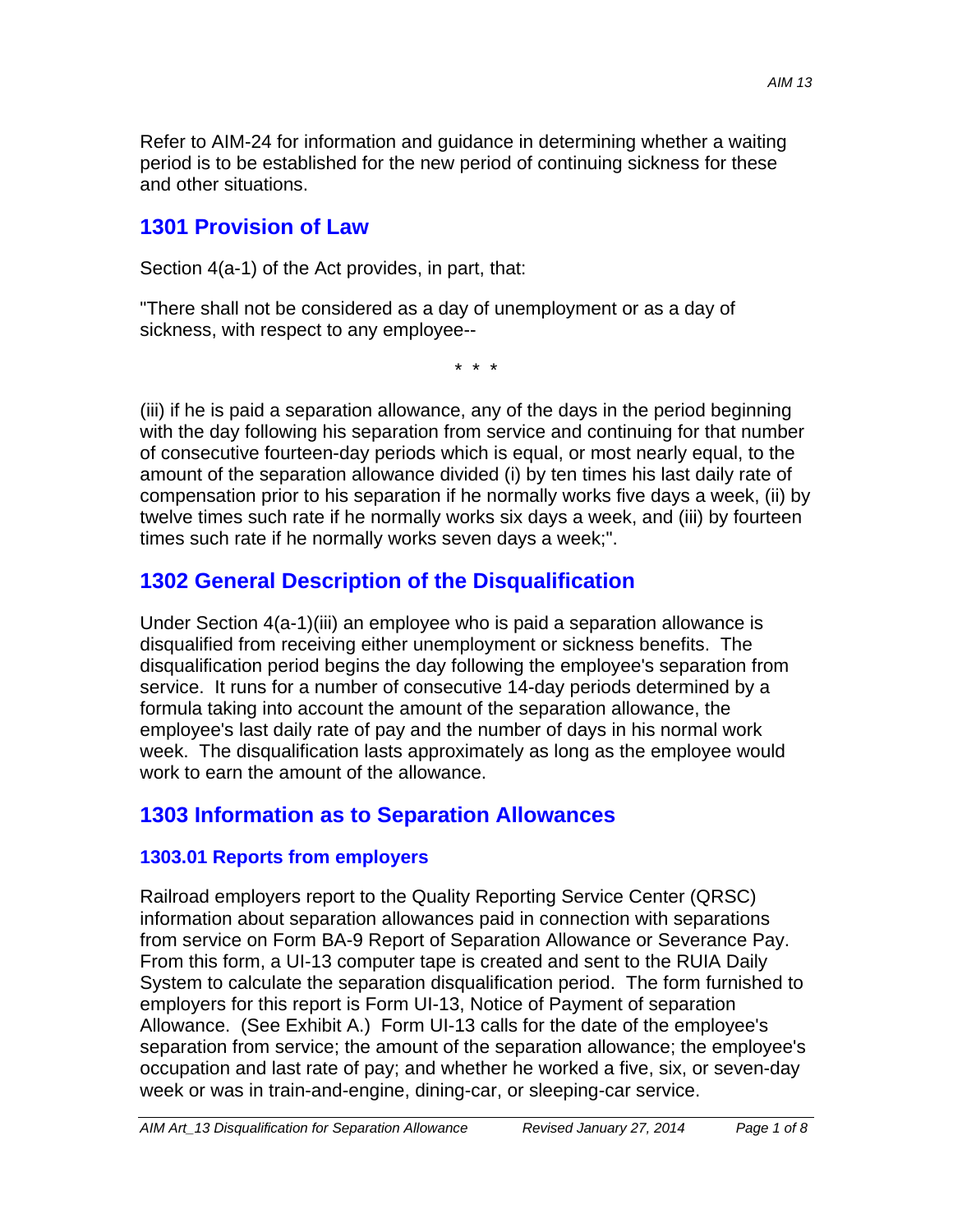Refer to AIM-24 for information and guidance in determining whether a waiting period is to be established for the new period of continuing sickness for these and other situations.

### **1301 Provision of Law**

Section 4(a-1) of the Act provides, in part, that:

"There shall not be considered as a day of unemployment or as a day of sickness, with respect to any employee--

\* \* \*

(iii) if he is paid a separation allowance, any of the days in the period beginning with the day following his separation from service and continuing for that number of consecutive fourteen-day periods which is equal, or most nearly equal, to the amount of the separation allowance divided (i) by ten times his last daily rate of compensation prior to his separation if he normally works five days a week, (ii) by twelve times such rate if he normally works six days a week, and (iii) by fourteen times such rate if he normally works seven days a week;".

# **1302 General Description of the Disqualification**

Under Section 4(a-1)(iii) an employee who is paid a separation allowance is disqualified from receiving either unemployment or sickness benefits. The disqualification period begins the day following the employee's separation from service. It runs for a number of consecutive 14-day periods determined by a formula taking into account the amount of the separation allowance, the employee's last daily rate of pay and the number of days in his normal work week. The disqualification lasts approximately as long as the employee would work to earn the amount of the allowance.

# **1303 Information as to Separation Allowances**

### **1303.01 Reports from employers**

Railroad employers report to the Quality Reporting Service Center (QRSC) information about separation allowances paid in connection with separations from service on Form BA-9 Report of Separation Allowance or Severance Pay. From this form, a UI-13 computer tape is created and sent to the RUIA Daily System to calculate the separation disqualification period. The form furnished to employers for this report is Form UI-13, Notice of Payment of separation Allowance. (See Exhibit A.) Form UI-13 calls for the date of the employee's separation from service; the amount of the separation allowance; the employee's occupation and last rate of pay; and whether he worked a five, six, or seven-day week or was in train-and-engine, dining-car, or sleeping-car service.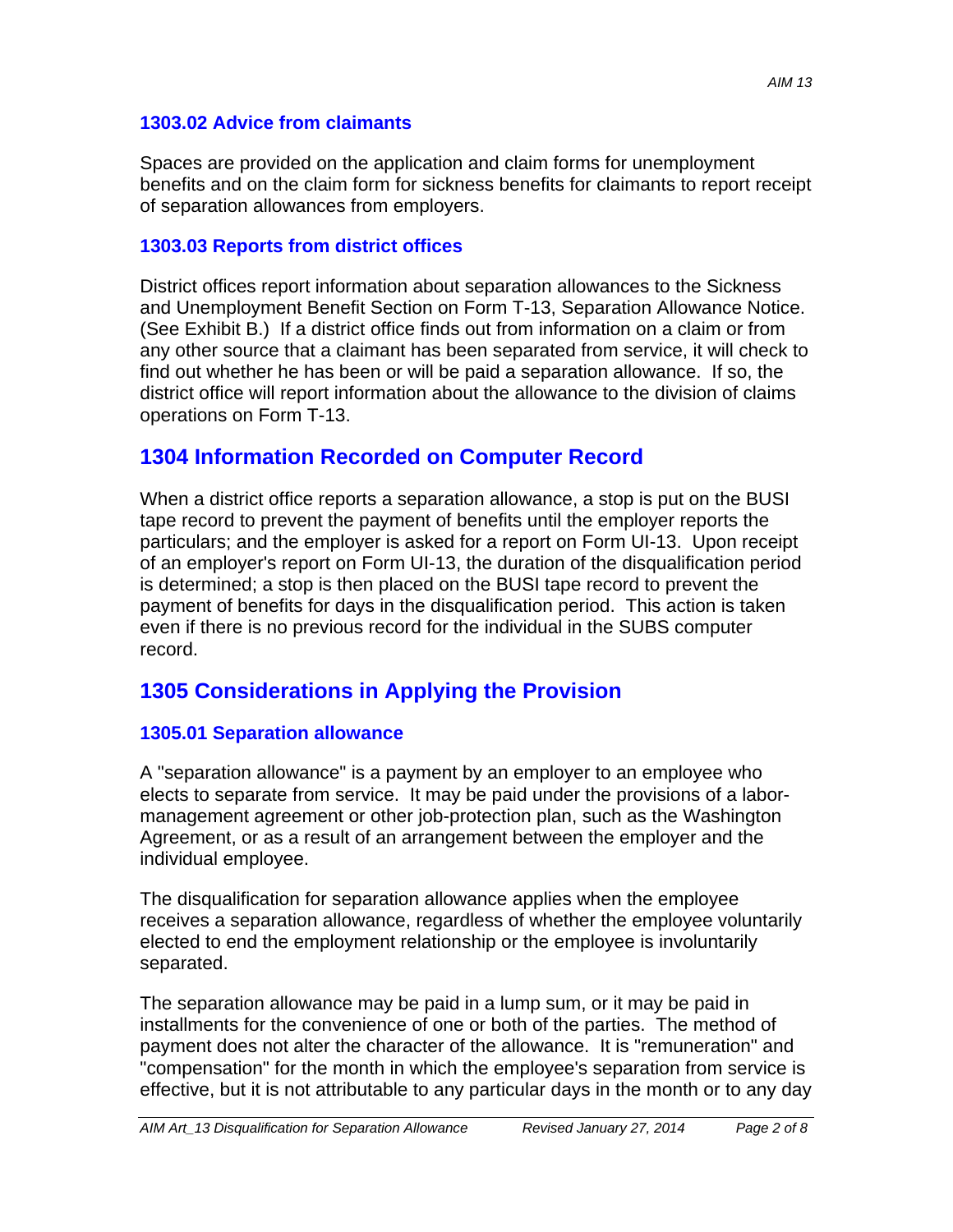#### **1303.02 Advice from claimants**

Spaces are provided on the application and claim forms for unemployment benefits and on the claim form for sickness benefits for claimants to report receipt of separation allowances from employers.

#### **1303.03 Reports from district offices**

District offices report information about separation allowances to the Sickness and Unemployment Benefit Section on Form T-13, Separation Allowance Notice. (See Exhibit B.) If a district office finds out from information on a claim or from any other source that a claimant has been separated from service, it will check to find out whether he has been or will be paid a separation allowance. If so, the district office will report information about the allowance to the division of claims operations on Form T-13.

### **1304 Information Recorded on Computer Record**

When a district office reports a separation allowance, a stop is put on the BUSI tape record to prevent the payment of benefits until the employer reports the particulars; and the employer is asked for a report on Form UI-13. Upon receipt of an employer's report on Form UI-13, the duration of the disqualification period is determined; a stop is then placed on the BUSI tape record to prevent the payment of benefits for days in the disqualification period. This action is taken even if there is no previous record for the individual in the SUBS computer record.

### **1305 Considerations in Applying the Provision**

#### **1305.01 Separation allowance**

A "separation allowance" is a payment by an employer to an employee who elects to separate from service. It may be paid under the provisions of a labormanagement agreement or other job-protection plan, such as the Washington Agreement, or as a result of an arrangement between the employer and the individual employee.

The disqualification for separation allowance applies when the employee receives a separation allowance, regardless of whether the employee voluntarily elected to end the employment relationship or the employee is involuntarily separated.

The separation allowance may be paid in a lump sum, or it may be paid in installments for the convenience of one or both of the parties. The method of payment does not alter the character of the allowance. It is "remuneration" and "compensation" for the month in which the employee's separation from service is effective, but it is not attributable to any particular days in the month or to any day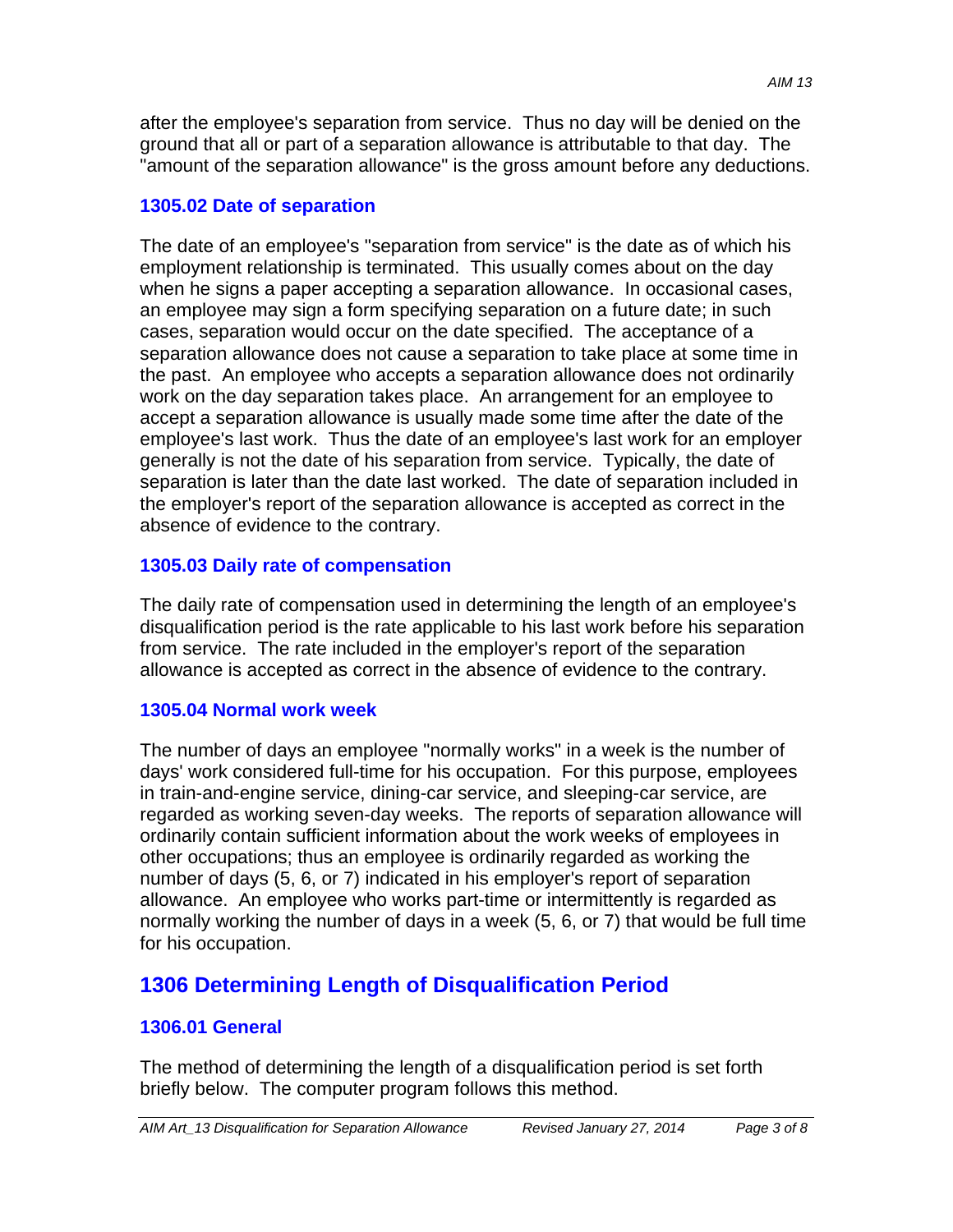after the employee's separation from service. Thus no day will be denied on the ground that all or part of a separation allowance is attributable to that day. The "amount of the separation allowance" is the gross amount before any deductions.

#### **1305.02 Date of separation**

The date of an employee's "separation from service" is the date as of which his employment relationship is terminated. This usually comes about on the day when he signs a paper accepting a separation allowance. In occasional cases, an employee may sign a form specifying separation on a future date; in such cases, separation would occur on the date specified. The acceptance of a separation allowance does not cause a separation to take place at some time in the past. An employee who accepts a separation allowance does not ordinarily work on the day separation takes place. An arrangement for an employee to accept a separation allowance is usually made some time after the date of the employee's last work. Thus the date of an employee's last work for an employer generally is not the date of his separation from service. Typically, the date of separation is later than the date last worked. The date of separation included in the employer's report of the separation allowance is accepted as correct in the absence of evidence to the contrary.

#### **1305.03 Daily rate of compensation**

The daily rate of compensation used in determining the length of an employee's disqualification period is the rate applicable to his last work before his separation from service. The rate included in the employer's report of the separation allowance is accepted as correct in the absence of evidence to the contrary.

#### **1305.04 Normal work week**

The number of days an employee "normally works" in a week is the number of days' work considered full-time for his occupation. For this purpose, employees in train-and-engine service, dining-car service, and sleeping-car service, are regarded as working seven-day weeks. The reports of separation allowance will ordinarily contain sufficient information about the work weeks of employees in other occupations; thus an employee is ordinarily regarded as working the number of days (5, 6, or 7) indicated in his employer's report of separation allowance. An employee who works part-time or intermittently is regarded as normally working the number of days in a week (5, 6, or 7) that would be full time for his occupation.

# **1306 Determining Length of Disqualification Period**

#### **1306.01 General**

The method of determining the length of a disqualification period is set forth briefly below. The computer program follows this method.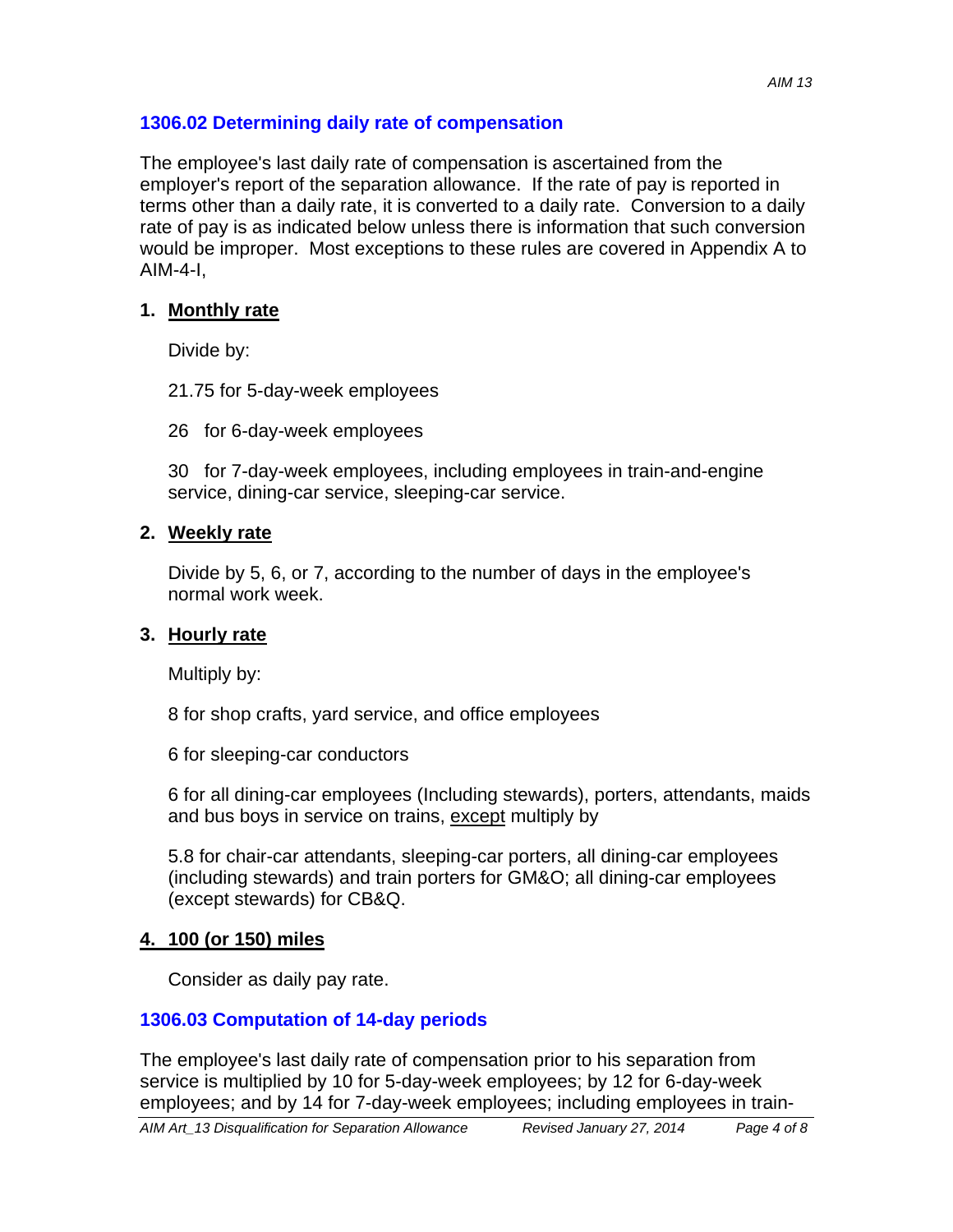#### **1306.02 Determining daily rate of compensation**

The employee's last daily rate of compensation is ascertained from the employer's report of the separation allowance. If the rate of pay is reported in terms other than a daily rate, it is converted to a daily rate. Conversion to a daily rate of pay is as indicated below unless there is information that such conversion would be improper. Most exceptions to these rules are covered in Appendix A to  $AlM-4-I$ 

#### **1. Monthly rate**

Divide by:

21.75 for 5-day-week employees

26 for 6-day-week employees

30 for 7-day-week employees, including employees in train-and-engine service, dining-car service, sleeping-car service.

#### **2. Weekly rate**

Divide by 5, 6, or 7, according to the number of days in the employee's normal work week.

#### **3. Hourly rate**

Multiply by:

8 for shop crafts, yard service, and office employees

6 for sleeping-car conductors

6 for all dining-car employees (Including stewards), porters, attendants, maids and bus boys in service on trains, except multiply by

5.8 for chair-car attendants, sleeping-car porters, all dining-car employees (including stewards) and train porters for GM&O; all dining-car employees (except stewards) for CB&Q.

#### **4. 100 (or 150) miles**

Consider as daily pay rate.

#### **1306.03 Computation of 14-day periods**

The employee's last daily rate of compensation prior to his separation from service is multiplied by 10 for 5-day-week employees; by 12 for 6-day-week employees; and by 14 for 7-day-week employees; including employees in train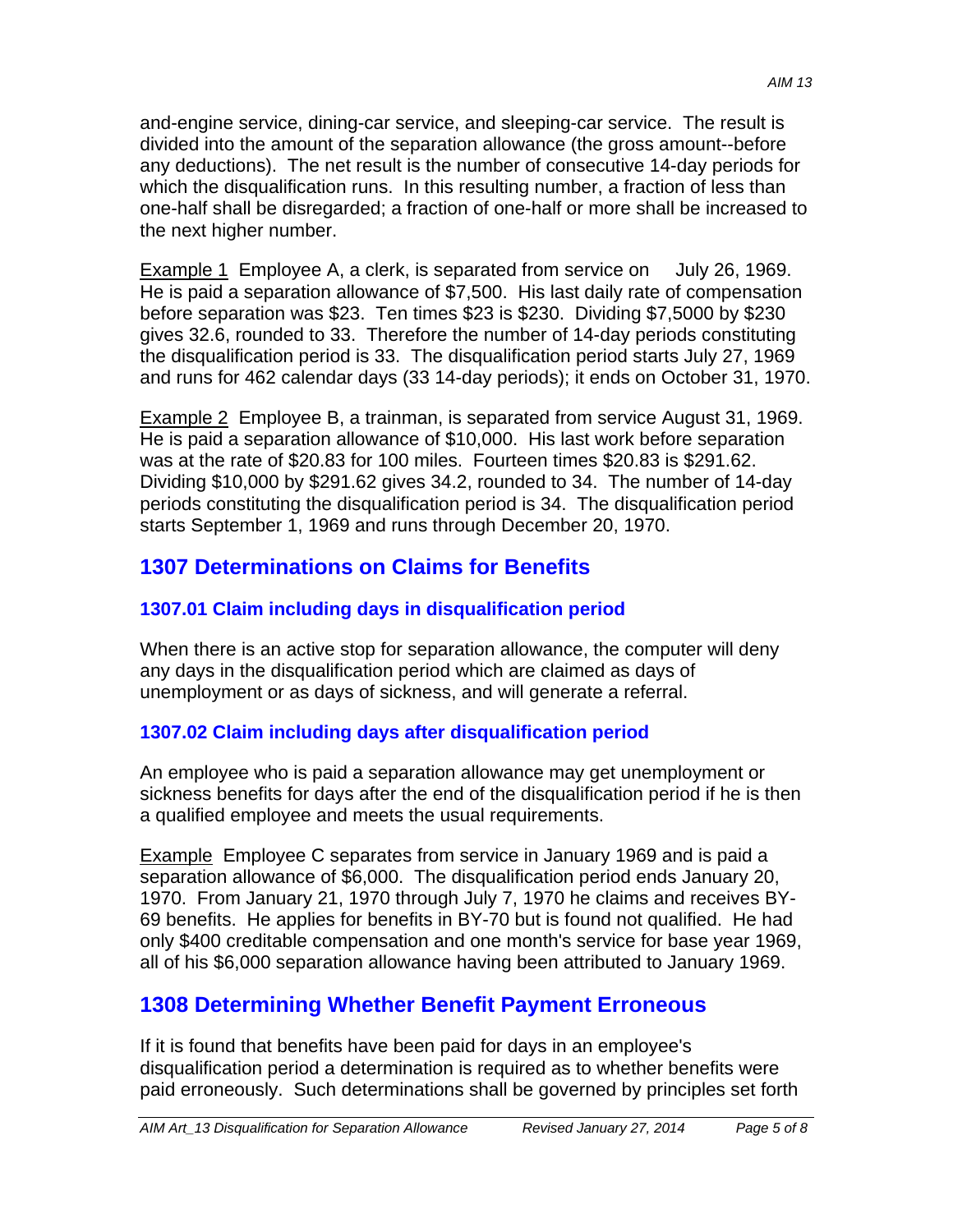and-engine service, dining-car service, and sleeping-car service. The result is divided into the amount of the separation allowance (the gross amount--before any deductions). The net result is the number of consecutive 14-day periods for which the disqualification runs. In this resulting number, a fraction of less than one-half shall be disregarded; a fraction of one-half or more shall be increased to the next higher number.

Example 1 Employee A, a clerk, is separated from service on July 26, 1969. He is paid a separation allowance of \$7,500. His last daily rate of compensation before separation was \$23. Ten times \$23 is \$230. Dividing \$7,5000 by \$230 gives 32.6, rounded to 33. Therefore the number of 14-day periods constituting the disqualification period is 33. The disqualification period starts July 27, 1969 and runs for 462 calendar days (33 14-day periods); it ends on October 31, 1970.

Example 2 Employee B, a trainman, is separated from service August 31, 1969. He is paid a separation allowance of \$10,000. His last work before separation was at the rate of \$20.83 for 100 miles. Fourteen times \$20.83 is \$291.62. Dividing \$10,000 by \$291.62 gives 34.2, rounded to 34. The number of 14-day periods constituting the disqualification period is 34. The disqualification period starts September 1, 1969 and runs through December 20, 1970.

# **1307 Determinations on Claims for Benefits**

# **1307.01 Claim including days in disqualification period**

When there is an active stop for separation allowance, the computer will deny any days in the disqualification period which are claimed as days of unemployment or as days of sickness, and will generate a referral.

# **1307.02 Claim including days after disqualification period**

An employee who is paid a separation allowance may get unemployment or sickness benefits for days after the end of the disqualification period if he is then a qualified employee and meets the usual requirements.

Example Employee C separates from service in January 1969 and is paid a separation allowance of \$6,000. The disqualification period ends January 20, 1970. From January 21, 1970 through July 7, 1970 he claims and receives BY-69 benefits. He applies for benefits in BY-70 but is found not qualified. He had only \$400 creditable compensation and one month's service for base year 1969, all of his \$6,000 separation allowance having been attributed to January 1969.

# **1308 Determining Whether Benefit Payment Erroneous**

If it is found that benefits have been paid for days in an employee's disqualification period a determination is required as to whether benefits were paid erroneously. Such determinations shall be governed by principles set forth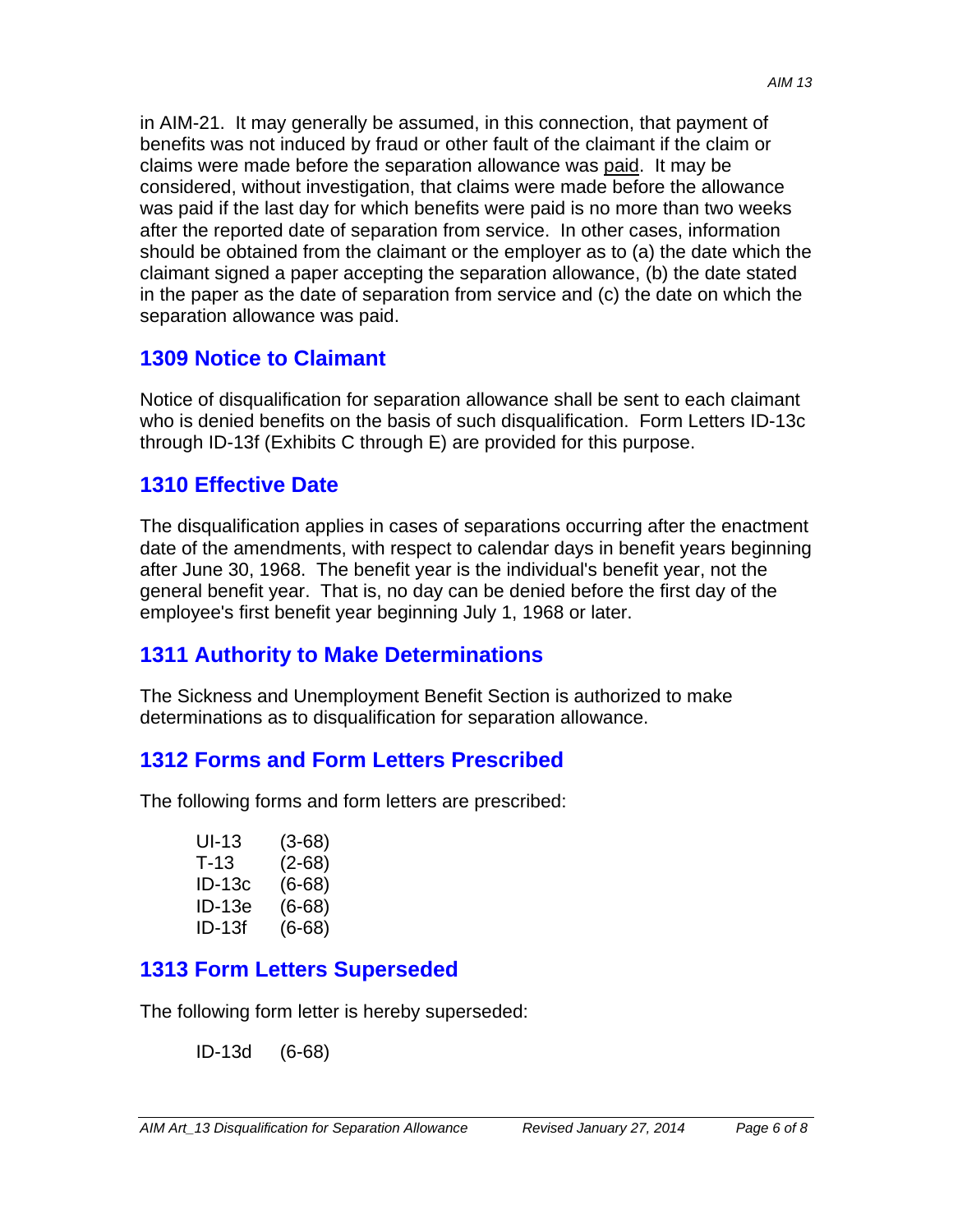in AIM-21. It may generally be assumed, in this connection, that payment of benefits was not induced by fraud or other fault of the claimant if the claim or claims were made before the separation allowance was paid. It may be considered, without investigation, that claims were made before the allowance was paid if the last day for which benefits were paid is no more than two weeks after the reported date of separation from service. In other cases, information should be obtained from the claimant or the employer as to (a) the date which the claimant signed a paper accepting the separation allowance, (b) the date stated in the paper as the date of separation from service and (c) the date on which the separation allowance was paid.

# **1309 Notice to Claimant**

Notice of disqualification for separation allowance shall be sent to each claimant who is denied benefits on the basis of such disqualification. Form Letters ID-13c through ID-13f (Exhibits C through E) are provided for this purpose.

### **1310 Effective Date**

The disqualification applies in cases of separations occurring after the enactment date of the amendments, with respect to calendar days in benefit years beginning after June 30, 1968. The benefit year is the individual's benefit year, not the general benefit year. That is, no day can be denied before the first day of the employee's first benefit year beginning July 1, 1968 or later.

# **1311 Authority to Make Determinations**

The Sickness and Unemployment Benefit Section is authorized to make determinations as to disqualification for separation allowance.

# **1312 Forms and Form Letters Prescribed**

The following forms and form letters are prescribed:

| UI-13    | $(3-68)$ |
|----------|----------|
| $T - 13$ | $(2-68)$ |
| ID-13c   | $(6-68)$ |
| ID-13e   | (6-68)   |
| ID-13f   | (6-68)   |

# **1313 Form Letters Superseded**

The following form letter is hereby superseded:

ID-13d (6-68)